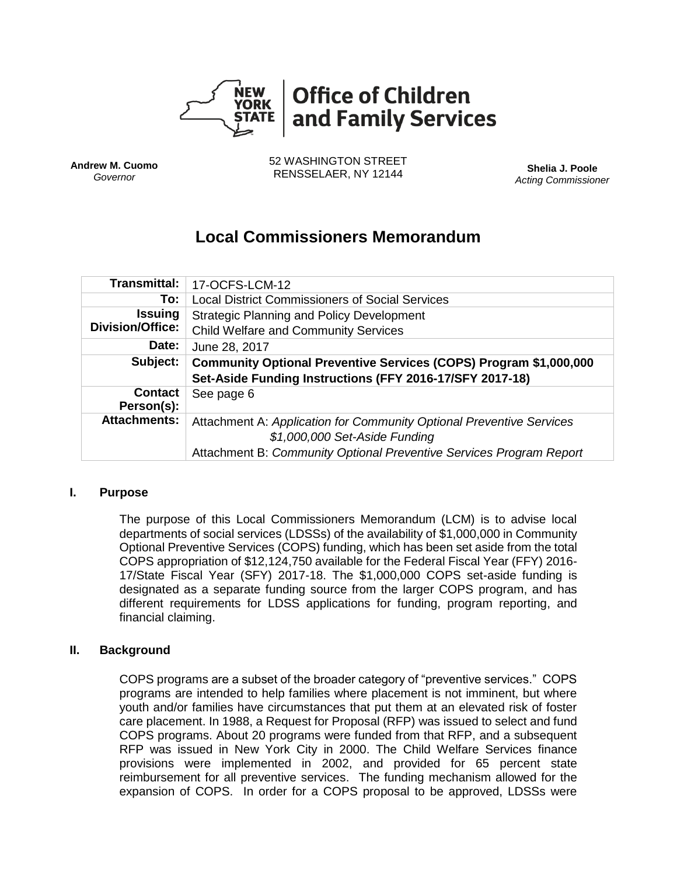

**Andrew M. Cuomo** *Governor*

52 WASHINGTON STREET RENSSELAER, NY 12144 **Shelia J. Poole**

*Acting Commissioner*

# **Local Commissioners Memorandum**

| <b>Transmittal:</b>          | 17-OCFS-LCM-12                                                           |  |  |
|------------------------------|--------------------------------------------------------------------------|--|--|
| To:                          | <b>Local District Commissioners of Social Services</b>                   |  |  |
| <b>Issuing</b>               | <b>Strategic Planning and Policy Development</b>                         |  |  |
| Division/Office:             | <b>Child Welfare and Community Services</b>                              |  |  |
| Date:                        | June 28, 2017                                                            |  |  |
| Subject:                     | <b>Community Optional Preventive Services (COPS) Program \$1,000,000</b> |  |  |
|                              | Set-Aside Funding Instructions (FFY 2016-17/SFY 2017-18)                 |  |  |
| <b>Contact</b><br>Person(s): | See page 6                                                               |  |  |
| <b>Attachments:</b>          | Attachment A: Application for Community Optional Preventive Services     |  |  |
|                              | \$1,000,000 Set-Aside Funding                                            |  |  |
|                              | Attachment B: Community Optional Preventive Services Program Report      |  |  |

#### **I. Purpose**

The purpose of this Local Commissioners Memorandum (LCM) is to advise local departments of social services (LDSSs) of the availability of \$1,000,000 in Community Optional Preventive Services (COPS) funding, which has been set aside from the total COPS appropriation of \$12,124,750 available for the Federal Fiscal Year (FFY) 2016- 17/State Fiscal Year (SFY) 2017-18. The \$1,000,000 COPS set-aside funding is designated as a separate funding source from the larger COPS program, and has different requirements for LDSS applications for funding, program reporting, and financial claiming.

# **II. Background**

COPS programs are a subset of the broader category of "preventive services." COPS programs are intended to help families where placement is not imminent, but where youth and/or families have circumstances that put them at an elevated risk of foster care placement. In 1988, a Request for Proposal (RFP) was issued to select and fund COPS programs. About 20 programs were funded from that RFP, and a subsequent RFP was issued in New York City in 2000. The Child Welfare Services finance provisions were implemented in 2002, and provided for 65 percent state reimbursement for all preventive services. The funding mechanism allowed for the expansion of COPS. In order for a COPS proposal to be approved, LDSSs were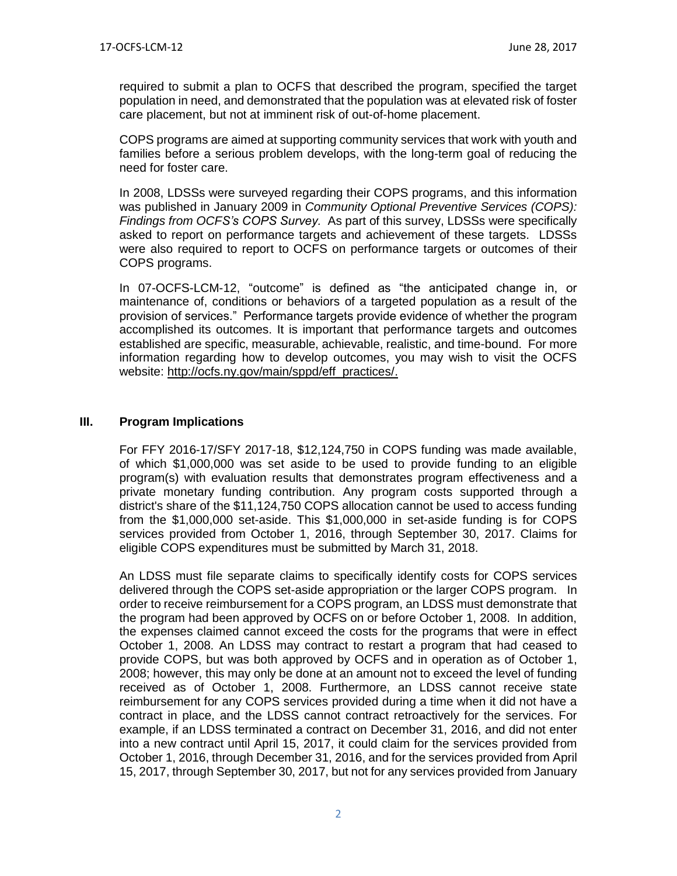required to submit a plan to OCFS that described the program, specified the target population in need, and demonstrated that the population was at elevated risk of foster care placement, but not at imminent risk of out-of-home placement.

COPS programs are aimed at supporting community services that work with youth and families before a serious problem develops, with the long-term goal of reducing the need for foster care.

In 2008, LDSSs were surveyed regarding their COPS programs, and this information was published in January 2009 in *Community Optional Preventive Services (COPS): Findings from OCFS's COPS Survey.* As part of this survey, LDSSs were specifically asked to report on performance targets and achievement of these targets. LDSSs were also required to report to OCFS on performance targets or outcomes of their COPS programs.

In 07-OCFS-LCM-12, "outcome" is defined as "the anticipated change in, or maintenance of, conditions or behaviors of a targeted population as a result of the provision of services." Performance targets provide evidence of whether the program accomplished its outcomes. It is important that performance targets and outcomes established are specific, measurable, achievable, realistic, and time-bound. For more information regarding how to develop outcomes, you may wish to visit the OCFS website: [http://ocfs.ny.gov/main/sppd/eff\\_practices/.](http://ocfs.ny.gov/main/sppd/eff_practices/)

#### **III. Program Implications**

For FFY 2016-17/SFY 2017-18, \$12,124,750 in COPS funding was made available, of which \$1,000,000 was set aside to be used to provide funding to an eligible program(s) with evaluation results that demonstrates program effectiveness and a private monetary funding contribution. Any program costs supported through a district's share of the \$11,124,750 COPS allocation cannot be used to access funding from the \$1,000,000 set-aside. This \$1,000,000 in set-aside funding is for COPS services provided from October 1, 2016, through September 30, 2017. Claims for eligible COPS expenditures must be submitted by March 31, 2018.

An LDSS must file separate claims to specifically identify costs for COPS services delivered through the COPS set-aside appropriation or the larger COPS program. In order to receive reimbursement for a COPS program, an LDSS must demonstrate that the program had been approved by OCFS on or before October 1, 2008. In addition, the expenses claimed cannot exceed the costs for the programs that were in effect October 1, 2008. An LDSS may contract to restart a program that had ceased to provide COPS, but was both approved by OCFS and in operation as of October 1, 2008; however, this may only be done at an amount not to exceed the level of funding received as of October 1, 2008. Furthermore, an LDSS cannot receive state reimbursement for any COPS services provided during a time when it did not have a contract in place, and the LDSS cannot contract retroactively for the services. For example, if an LDSS terminated a contract on December 31, 2016, and did not enter into a new contract until April 15, 2017, it could claim for the services provided from October 1, 2016, through December 31, 2016, and for the services provided from April 15, 2017, through September 30, 2017, but not for any services provided from January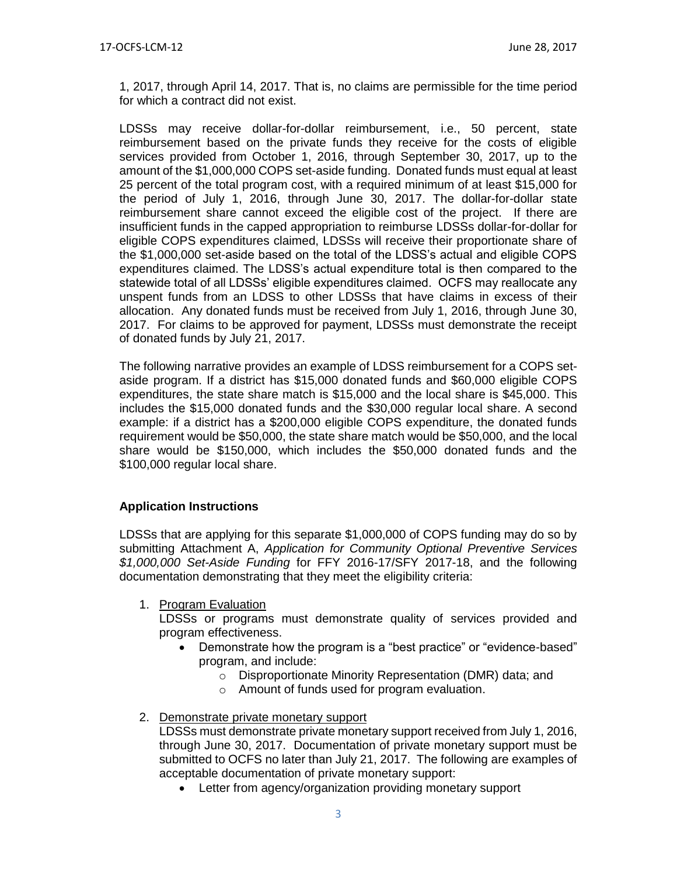1, 2017, through April 14, 2017. That is, no claims are permissible for the time period for which a contract did not exist.

LDSSs may receive dollar-for-dollar reimbursement, i.e., 50 percent, state reimbursement based on the private funds they receive for the costs of eligible services provided from October 1, 2016, through September 30, 2017, up to the amount of the \$1,000,000 COPS set-aside funding. Donated funds must equal at least 25 percent of the total program cost, with a required minimum of at least \$15,000 for the period of July 1, 2016, through June 30, 2017. The dollar-for-dollar state reimbursement share cannot exceed the eligible cost of the project. If there are insufficient funds in the capped appropriation to reimburse LDSSs dollar-for-dollar for eligible COPS expenditures claimed, LDSSs will receive their proportionate share of the \$1,000,000 set-aside based on the total of the LDSS's actual and eligible COPS expenditures claimed. The LDSS's actual expenditure total is then compared to the statewide total of all LDSSs' eligible expenditures claimed. OCFS may reallocate any unspent funds from an LDSS to other LDSSs that have claims in excess of their allocation. Any donated funds must be received from July 1, 2016, through June 30, 2017. For claims to be approved for payment, LDSSs must demonstrate the receipt of donated funds by July 21, 2017.

The following narrative provides an example of LDSS reimbursement for a COPS setaside program. If a district has \$15,000 donated funds and \$60,000 eligible COPS expenditures, the state share match is \$15,000 and the local share is \$45,000. This includes the \$15,000 donated funds and the \$30,000 regular local share. A second example: if a district has a \$200,000 eligible COPS expenditure, the donated funds requirement would be \$50,000, the state share match would be \$50,000, and the local share would be \$150,000, which includes the \$50,000 donated funds and the \$100,000 regular local share.

# **Application Instructions**

LDSSs that are applying for this separate \$1,000,000 of COPS funding may do so by submitting Attachment A, *Application for Community Optional Preventive Services \$1,000,000 Set-Aside Funding* for FFY 2016-17/SFY 2017-18, and the following documentation demonstrating that they meet the eligibility criteria:

1. Program Evaluation

LDSSs or programs must demonstrate quality of services provided and program effectiveness.

- Demonstrate how the program is a "best practice" or "evidence-based" program, and include:
	- o Disproportionate Minority Representation (DMR) data; and
	- o Amount of funds used for program evaluation.
- 2. Demonstrate private monetary support

LDSSs must demonstrate private monetary support received from July 1, 2016, through June 30, 2017. Documentation of private monetary support must be submitted to OCFS no later than July 21, 2017. The following are examples of acceptable documentation of private monetary support:

Letter from agency/organization providing monetary support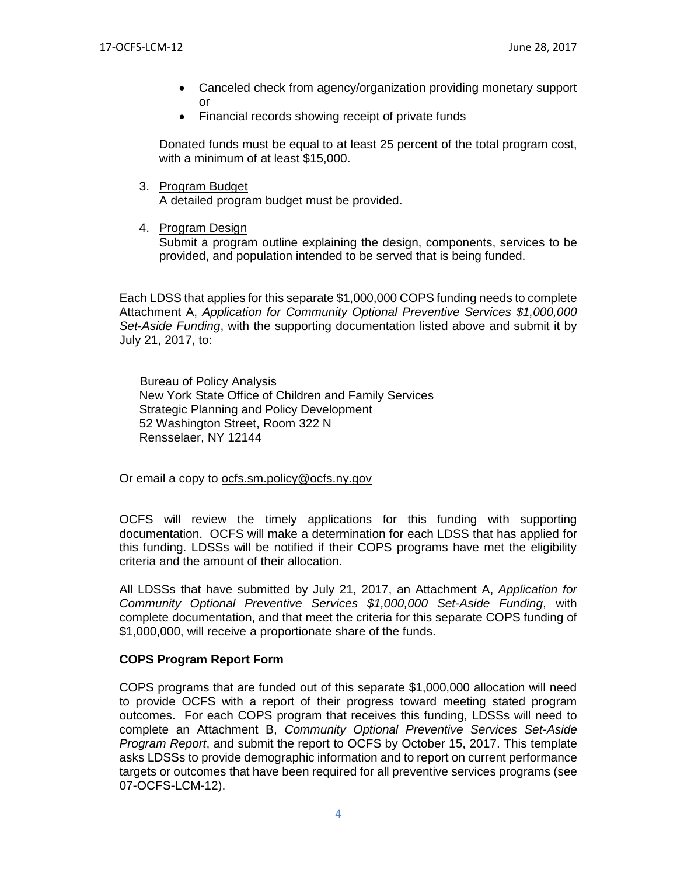- Canceled check from agency/organization providing monetary support or
- Financial records showing receipt of private funds

Donated funds must be equal to at least 25 percent of the total program cost, with a minimum of at least \$15,000.

3. Program Budget

A detailed program budget must be provided.

4. Program Design

Submit a program outline explaining the design, components, services to be provided, and population intended to be served that is being funded.

Each LDSS that applies for this separate \$1,000,000 COPS funding needs to complete Attachment A, *Application for Community Optional Preventive Services \$1,000,000 Set-Aside Funding*, with the supporting documentation listed above and submit it by July 21, 2017, to:

**Bureau of Policy Analysis** New York State Office of Children and Family Services Strategic Planning and Policy Development 52 Washington Street, Room 322 N Rensselaer, NY 12144

Or email a copy to [ocfs.sm.policy@ocfs.ny.gov](mailto:ocfs.sm.policy@ocfs.ny.gov)

OCFS will review the timely applications for this funding with supporting documentation. OCFS will make a determination for each LDSS that has applied for this funding. LDSSs will be notified if their COPS programs have met the eligibility criteria and the amount of their allocation.

All LDSSs that have submitted by July 21, 2017, an Attachment A, *Application for Community Optional Preventive Services \$1,000,000 Set-Aside Funding*, with complete documentation, and that meet the criteria for this separate COPS funding of \$1,000,000, will receive a proportionate share of the funds.

#### **COPS Program Report Form**

COPS programs that are funded out of this separate \$1,000,000 allocation will need to provide OCFS with a report of their progress toward meeting stated program outcomes. For each COPS program that receives this funding, LDSSs will need to complete an Attachment B, *Community Optional Preventive Services Set-Aside Program Report*, and submit the report to OCFS by October 15, 2017. This template asks LDSSs to provide demographic information and to report on current performance targets or outcomes that have been required for all preventive services programs (see 07-OCFS-LCM-12).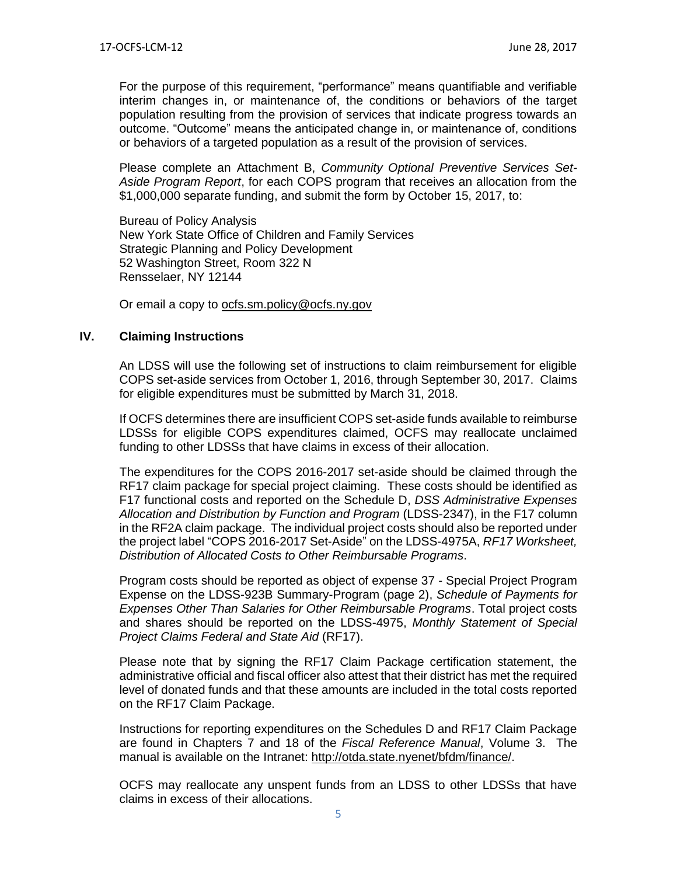For the purpose of this requirement, "performance" means quantifiable and verifiable interim changes in, or maintenance of, the conditions or behaviors of the target population resulting from the provision of services that indicate progress towards an outcome. "Outcome" means the anticipated change in, or maintenance of, conditions or behaviors of a targeted population as a result of the provision of services.

Please complete an Attachment B, *Community Optional Preventive Services Set-Aside Program Report*, for each COPS program that receives an allocation from the \$1,000,000 separate funding, and submit the form by October 15, 2017, to:

Bureau of Policy Analysis New York State Office of Children and Family Services Strategic Planning and Policy Development 52 Washington Street, Room 322 N Rensselaer, NY 12144

Or email a copy to [ocfs.sm.policy@ocfs.ny.gov](mailto:ocfs.sm.policy@ocfs.ny.gov)

## **IV. Claiming Instructions**

An LDSS will use the following set of instructions to claim reimbursement for eligible COPS set-aside services from October 1, 2016, through September 30, 2017. Claims for eligible expenditures must be submitted by March 31, 2018.

If OCFS determines there are insufficient COPS set-aside funds available to reimburse LDSSs for eligible COPS expenditures claimed, OCFS may reallocate unclaimed funding to other LDSSs that have claims in excess of their allocation.

The expenditures for the COPS 2016-2017 set-aside should be claimed through the RF17 claim package for special project claiming. These costs should be identified as F17 functional costs and reported on the Schedule D, *DSS Administrative Expenses Allocation and Distribution by Function and Program* (LDSS-2347), in the F17 column in the RF2A claim package. The individual project costs should also be reported under the project label "COPS 2016-2017 Set-Aside" on the LDSS-4975A, *RF17 Worksheet, Distribution of Allocated Costs to Other Reimbursable Programs*.

Program costs should be reported as object of expense 37 - Special Project Program Expense on the LDSS-923B Summary-Program (page 2), *Schedule of Payments for Expenses Other Than Salaries for Other Reimbursable Programs*. Total project costs and shares should be reported on the LDSS-4975, *Monthly Statement of Special Project Claims Federal and State Aid* (RF17).

Please note that by signing the RF17 Claim Package certification statement, the administrative official and fiscal officer also attest that their district has met the required level of donated funds and that these amounts are included in the total costs reported on the RF17 Claim Package.

Instructions for reporting expenditures on the Schedules D and RF17 Claim Package are found in Chapters 7 and 18 of the *Fiscal Reference Manual*, Volume 3. The manual is available on the Intranet: [http://otda.state.nyenet/bfdm/finance/.](http://otda.state.nyenet/bfdm/finance/)

OCFS may reallocate any unspent funds from an LDSS to other LDSSs that have claims in excess of their allocations.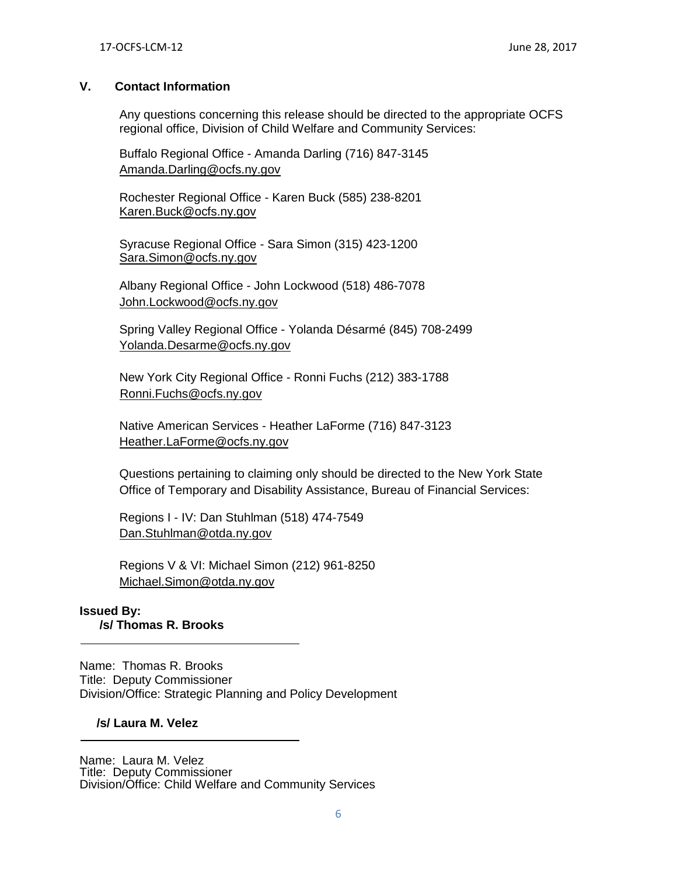## **V. Contact Information**

Any questions concerning this release should be directed to the appropriate OCFS regional office, Division of Child Welfare and Community Services:

Buffalo Regional Office - Amanda Darling (716) 847-3145 [Amanda.Darling@ocfs.ny.gov](mailto:Amanda.Darling@ocfs.ny.gov)

Rochester Regional Office - Karen Buck (585) 238-8201 [Karen.Buck@ocfs.ny.gov](mailto:Karen.Buck@ocfs.ny.gov)

Syracuse Regional Office - Sara Simon (315) 423-1200 [Sara.Simon@ocfs.ny.gov](mailto:Sara.Simon@ocfs.ny.gov)

Albany Regional Office - John Lockwood (518) 486-707[8](mailto:%20John.Lockwood@ocfs.ny.gov) [John.Lockwood@ocfs.ny.gov](mailto:%20John.Lockwood@ocfs.ny.gov) 

Spring Valley Regional Office - Yolanda Désarmé (845) 708-2499 [Yolanda.Desarme@ocfs.ny.gov](mailto:Yolanda.Desarme@ocfs.ny.gov)

New York City Regional Office - Ronni Fuchs (212) 383-1788 [Ronni.Fuchs@ocfs.ny.gov](mailto:Ronni.Fuchs@ocfs.ny.gov)

Native American Services - Heather LaForme (716) 847-3123 [Heather.LaForme@ocfs.ny.gov](mailto:Heather.LaForme@ocfs.ny.gov)

Questions pertaining to claiming only should be directed to the New York State Office of Temporary and Disability Assistance, Bureau of Financial Services:

Regions I - IV: Dan Stuhlman (518) 474-7549 [Dan.Stuhlman@otda.ny.gov](mailto:Dan.Stuhlman@otda.ny.gov)

Regions V & VI: Michael Simon (212) 961-8250 [Michael.Simon@otda.ny.gov](mailto:Michael.Simon@otda.ny.gov)

**Issued By: /s/ Thomas R. Brooks**

Name: Thomas R. Brooks Title: Deputy Commissioner Division/Office: Strategic Planning and Policy Development

#### **/s/ Laura M. Velez**

Name: Laura M. Velez Title: Deputy Commissioner Division/Office: Child Welfare and Community Services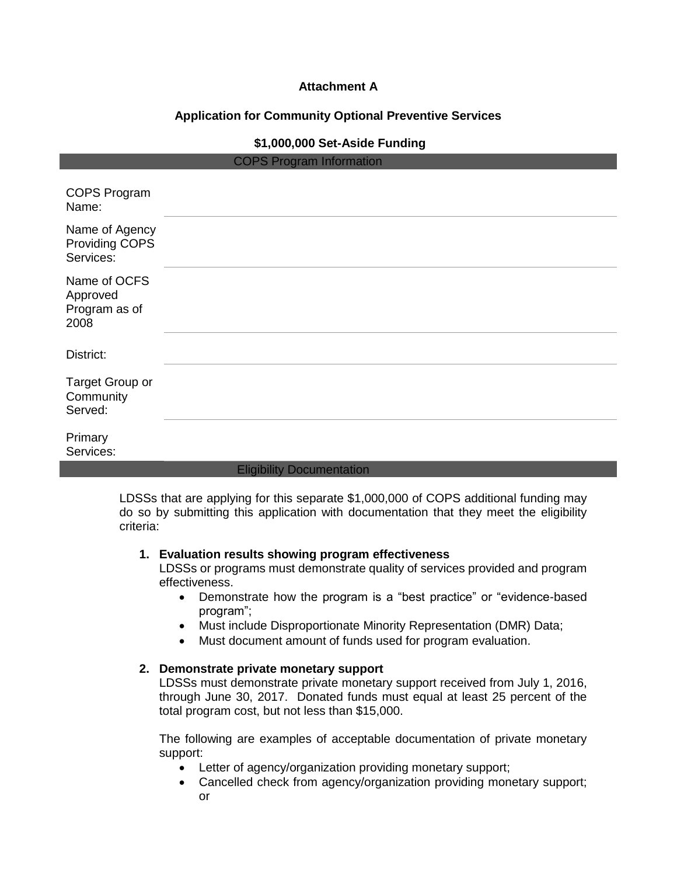# **Attachment A**

# **Application for Community Optional Preventive Services**

## **\$1,000,000 Set-Aside Funding**

| <b>COPS Program Information</b>                   |                                  |  |  |
|---------------------------------------------------|----------------------------------|--|--|
| <b>COPS Program</b><br>Name:                      |                                  |  |  |
| Name of Agency<br>Providing COPS<br>Services:     |                                  |  |  |
| Name of OCFS<br>Approved<br>Program as of<br>2008 |                                  |  |  |
| District:                                         |                                  |  |  |
| Target Group or<br>Community<br>Served:           |                                  |  |  |
| Primary<br>Services:                              |                                  |  |  |
|                                                   | <b>Eligibility Documentation</b> |  |  |

LDSSs that are applying for this separate \$1,000,000 of COPS additional funding may do so by submitting this application with documentation that they meet the eligibility criteria:

#### **1. Evaluation results showing program effectiveness**

LDSSs or programs must demonstrate quality of services provided and program effectiveness.

- Demonstrate how the program is a "best practice" or "evidence-based program";
- Must include Disproportionate Minority Representation (DMR) Data;
- Must document amount of funds used for program evaluation.

#### **2. Demonstrate private monetary support**

LDSSs must demonstrate private monetary support received from July 1, 2016, through June 30, 2017. Donated funds must equal at least 25 percent of the total program cost, but not less than \$15,000.

The following are examples of acceptable documentation of private monetary support:

- Letter of agency/organization providing monetary support;
- Cancelled check from agency/organization providing monetary support; or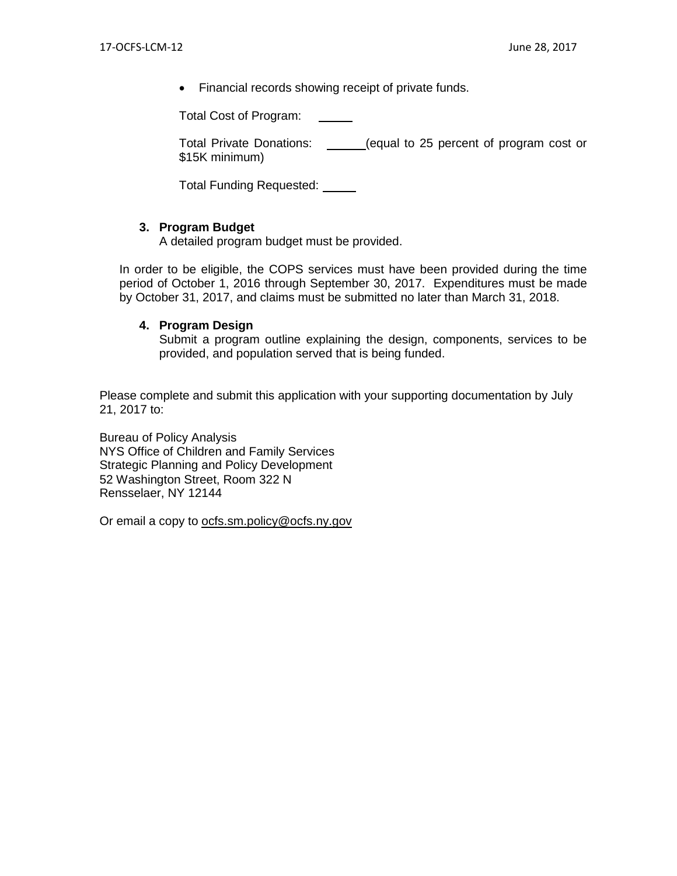• Financial records showing receipt of private funds.

Total Cost of Program:

Total Private Donations: \_\_\_\_\_(equal to 25 percent of program cost or \$15K minimum)

Total Funding Requested:

# **3. Program Budget**

A detailed program budget must be provided.

In order to be eligible, the COPS services must have been provided during the time period of October 1, 2016 through September 30, 2017. Expenditures must be made by October 31, 2017, and claims must be submitted no later than March 31, 2018.

## **4. Program Design**

Submit a program outline explaining the design, components, services to be provided, and population served that is being funded.

Please complete and submit this application with your supporting documentation by July 21, 2017 to:

Bureau of Policy Analysis NYS Office of Children and Family Services Strategic Planning and Policy Development 52 Washington Street, Room 322 N Rensselaer, NY 12144

Or email a copy to [ocfs.sm.policy@ocfs.ny.gov](mailto:ocfs.sm.policy@ocfs.ny.gov)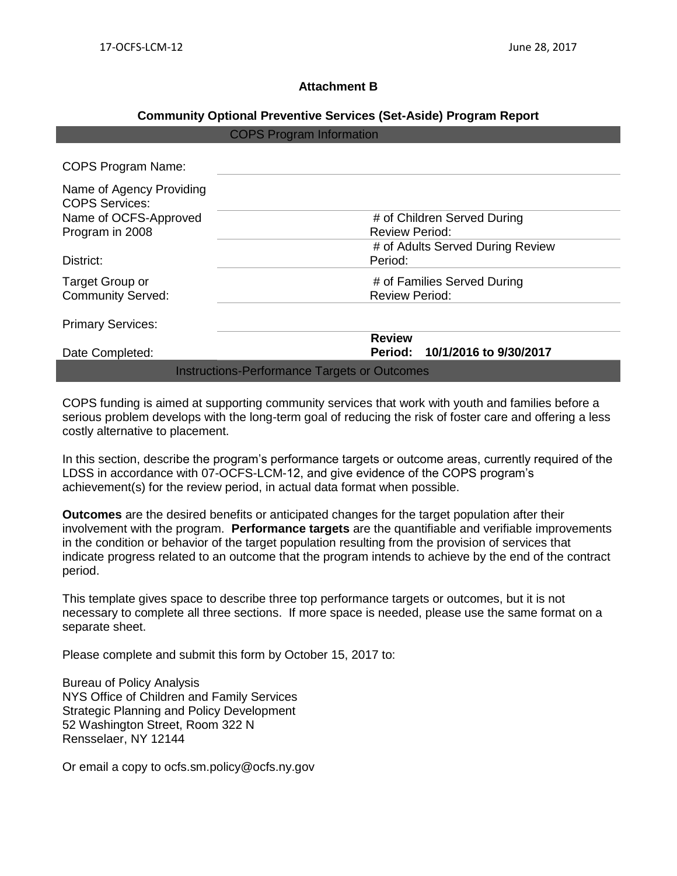## **Attachment B**

## **Community Optional Preventive Services (Set-Aside) Program Report**

| <b>COPS Program Information</b>                     |  |                                                      |  |
|-----------------------------------------------------|--|------------------------------------------------------|--|
| <b>COPS Program Name:</b>                           |  |                                                      |  |
| Name of Agency Providing<br><b>COPS Services:</b>   |  |                                                      |  |
| Name of OCFS-Approved<br>Program in 2008            |  | # of Children Served During<br><b>Review Period:</b> |  |
| District:                                           |  | # of Adults Served During Review<br>Period:          |  |
| Target Group or<br><b>Community Served:</b>         |  | # of Families Served During<br><b>Review Period:</b> |  |
| <b>Primary Services:</b>                            |  |                                                      |  |
| Date Completed:                                     |  | <b>Review</b><br>Period: 10/1/2016 to 9/30/2017      |  |
| <b>Instructions-Performance Targets or Outcomes</b> |  |                                                      |  |

COPS funding is aimed at supporting community services that work with youth and families before a serious problem develops with the long-term goal of reducing the risk of foster care and offering a less costly alternative to placement.

In this section, describe the program's performance targets or outcome areas, currently required of the LDSS in accordance with 07-OCFS-LCM-12, and give evidence of the COPS program's achievement(s) for the review period, in actual data format when possible.

**Outcomes** are the desired benefits or anticipated changes for the target population after their involvement with the program. **Performance targets** are the quantifiable and verifiable improvements in the condition or behavior of the target population resulting from the provision of services that indicate progress related to an outcome that the program intends to achieve by the end of the contract period.

This template gives space to describe three top performance targets or outcomes, but it is not necessary to complete all three sections. If more space is needed, please use the same format on a separate sheet.

Please complete and submit this form by October 15, 2017 to:

Bureau of Policy Analysis NYS Office of Children and Family Services Strategic Planning and Policy Development 52 Washington Street, Room 322 N Rensselaer, NY 12144

Or email a copy to ocfs.sm.policy@ocfs.ny.gov